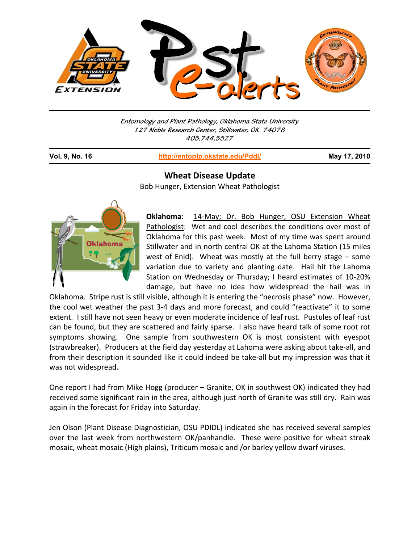

Entomology and Plant Pathology, Oklahoma State University 127 Noble Research Center, Stillwater, OK 74078 405.744.5527

j

**Vol. 9, No. 16 http://entoplp.okstate.edu/Pddl/ May 17, 2010**

## **Wheat Disease Update**

Bob Hunger, Extension Wheat Pathologist



**Oklahoma**: 14‐May; Dr. Bob Hunger, OSU Extension Wheat Pathologist: Wet and cool describes the conditions over most of Oklahoma for this past week. Most of my time was spent around Stillwater and in north central OK at the Lahoma Station (15 miles west of Enid). Wheat was mostly at the full berry stage – some variation due to variety and planting date. Hail hit the Lahoma Station on Wednesday or Thursday; I heard estimates of 10‐20% damage, but have no idea how widespread the hail was in

Oklahoma. Stripe rust is still visible, although it is entering the "necrosis phase" now. However, the cool wet weather the past 3‐4 days and more forecast, and could "reactivate" it to some extent. I still have not seen heavy or even moderate incidence of leaf rust. Pustules of leaf rust can be found, but they are scattered and fairly sparse. I also have heard talk of some root rot symptoms showing. One sample from southwestern OK is most consistent with eyespot (strawbreaker). Producers at the field day yesterday at Lahoma were asking about take‐all, and from their description it sounded like it could indeed be take-all but my impression was that it was not widespread.

One report I had from Mike Hogg (producer – Granite, OK in southwest OK) indicated they had received some significant rain in the area, although just north of Granite was still dry. Rain was again in the forecast for Friday into Saturday.

Jen Olson (Plant Disease Diagnostician, OSU PDIDL) indicated she has received several samples over the last week from northwestern OK/panhandle. These were positive for wheat streak mosaic, wheat mosaic (High plains), Triticum mosaic and /or barley yellow dwarf viruses.